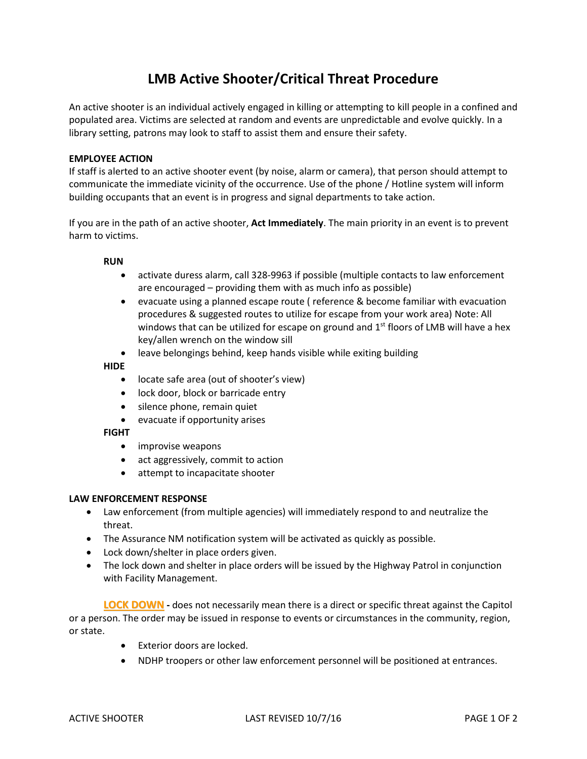# **LMB Active Shooter/Critical Threat Procedure**

An active shooter is an individual actively engaged in killing or attempting to kill people in a confined and populated area. Victims are selected at random and events are unpredictable and evolve quickly. In a library setting, patrons may look to staff to assist them and ensure their safety.

# **EMPLOYEE ACTION**

If staff is alerted to an active shooter event (by noise, alarm or camera), that person should attempt to communicate the immediate vicinity of the occurrence. Use of the phone / Hotline system will inform building occupants that an event is in progress and signal departments to take action.

If you are in the path of an active shooter, **Act Immediately**. The main priority in an event is to prevent harm to victims.

## **RUN**

- activate duress alarm, call 328-9963 if possible (multiple contacts to law enforcement are encouraged – providing them with as much info as possible)
- evacuate using a planned escape route ( reference & become familiar with evacuation procedures & suggested routes to utilize for escape from your work area) Note: All windows that can be utilized for escape on ground and 1<sup>st</sup> floors of LMB will have a hex key/allen wrench on the window sill
- leave belongings behind, keep hands visible while exiting building

#### **HIDE**

- locate safe area (out of shooter's view)
- lock door, block or barricade entry
- silence phone, remain quiet
- evacuate if opportunity arises

## **FIGHT**

- improvise weapons
- act aggressively, commit to action
- attempt to incapacitate shooter

## **LAW ENFORCEMENT RESPONSE**

- Law enforcement (from multiple agencies) will immediately respond to and neutralize the threat.
- The Assurance NM notification system will be activated as quickly as possible.
- Lock down/shelter in place orders given.
- The lock down and shelter in place orders will be issued by the Highway Patrol in conjunction with Facility Management.

**LOCK DOWN -** does not necessarily mean there is a direct or specific threat against the Capitol or a person. The order may be issued in response to events or circumstances in the community, region, or state.

- Exterior doors are locked.
- NDHP troopers or other law enforcement personnel will be positioned at entrances.